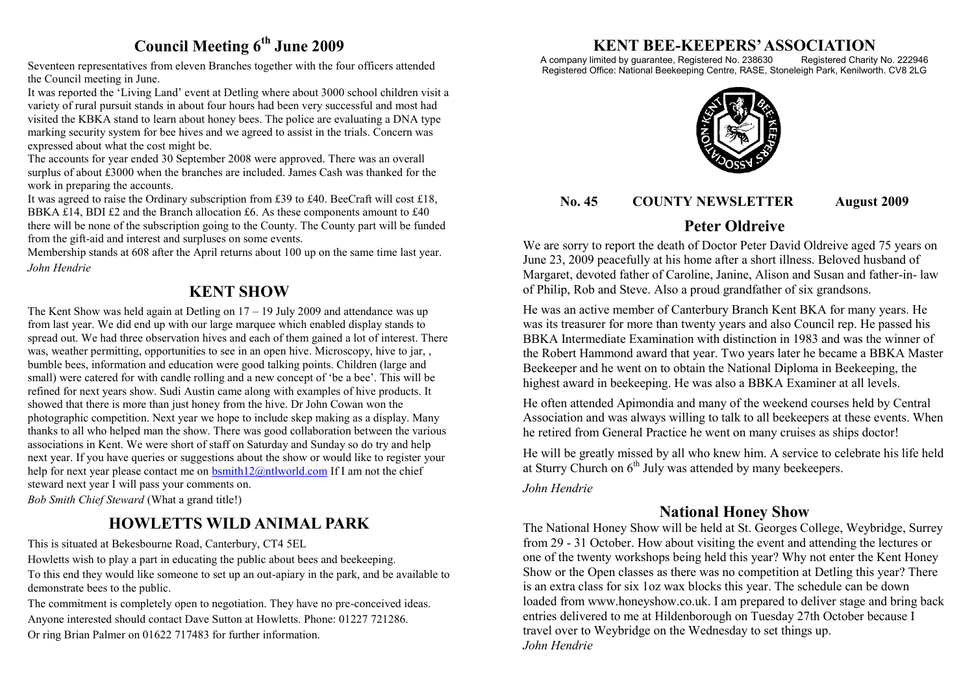## **Council Meeting 6th June 2009**

Seventeen representatives from eleven Branches together with the four officers attended the Council meeting in June.

It was reported the 'Living Land' event at Detling where about 3000 school children visit a variety of rural pursuit stands in about four hours had been very successful and most had visited the KBKA stand to learn about honey bees. The police are evaluating a DNA type marking security system for bee hives and we agreed to assist in the trials. Concern was expressed about what the cost might be.

The accounts for year ended 30 September 2008 were approved. There was an overall surplus of about £3000 when the branches are included. James Cash was thanked for the work in preparing the accounts.

It was agreed to raise the Ordinary subscription from £39 to £40. BeeCraft will cost £18, BBKA £14, BDI £2 and the Branch allocation £6. As these components amount to  $£40$ there will be none of the subscription going to the County. The County part will be funded from the gift-aid and interest and surpluses on some events.

Membership stands at 608 after the April returns about 100 up on the same time last year. *John Hendrie*

## **KENT SHOW**

The Kent Show was held again at Detling on  $17 - 19$  July 2009 and attendance was up from last year. We did end up with our large marquee which enabled display stands to spread out. We had three observation hives and each of them gained a lot of interest. There was, weather permitting, opportunities to see in an open hive. Microscopy, hive to jar, , bumble bees, information and education were good talking points. Children (large and small) were catered for with candle rolling and a new concept of 'be a bee'. This will be refined for next years show. Sudi Austin came along with examples of hive products. It showed that there is more than just honey from the hive. Dr John Cowan won the photographic competition. Next year we hope to include skep making as a display. Many thanks to all who helped man the show. There was good collaboration between the various associations in Kent. We were short of staff on Saturday and Sunday so do try and help next year. If you have queries or suggestions about the show or would like to register your help for next year please contact me on [bsmith12@ntlworld.com](mailto:bsmith12@ntlworld.com) If I am not the chief steward next year I will pass your comments on. *Bob Smith Chief Steward* (What a grand title!)

## **HOWLETTS WILD ANIMAL PARK**

This is situated at Bekesbourne Road, Canterbury, CT4 5EL

Howletts wish to play a part in educating the public about bees and beekeeping. To this end they would like someone to set up an out-apiary in the park, and be available to demonstrate bees to the public.

The commitment is completely open to negotiation. They have no pre-conceived ideas. Anyone interested should contact Dave Sutton at Howletts. Phone: 01227 721286. Or ring Brian Palmer on 01622 717483 for further information.

# **KENT BEE-KEEPERS' ASSOCIATION**<br>imited by guarantee, Registered No. 238630 Registered Charity No. 222946

A company limited by guarantee, Registered No. 238630 Registered Office: National Beekeeping Centre, RASE, Stoneleigh Park, Kenilworth. CV8 2LG



#### **No. 45 COUNTY NEWSLETTER August 2009**

## **Peter Oldreive**

We are sorry to report the death of Doctor Peter David Oldreive aged 75 years on June 23, 2009 peacefully at his home after a short illness. Beloved husband of Margaret, devoted father of Caroline, Janine, Alison and Susan and father-in- law of Philip, Rob and Steve. Also a proud grandfather of six grandsons.

He was an active member of Canterbury Branch Kent BKA for many years. He was its treasurer for more than twenty years and also Council rep. He passed his BBKA Intermediate Examination with distinction in 1983 and was the winner of the Robert Hammond award that year. Two years later he became a BBKA Master Beekeeper and he went on to obtain the National Diploma in Beekeeping, the highest award in beekeeping. He was also a BBKA Examiner at all levels.

He often attended Apimondia and many of the weekend courses held by Central Association and was always willing to talk to all beekeepers at these events. When he retired from General Practice he went on many cruises as ships doctor!

He will be greatly missed by all who knew him. A service to celebrate his life held at Sturry Church on  $6<sup>th</sup>$  July was attended by many beekeepers.

#### *John Hendrie*

## **National Honey Show**

The National Honey Show will be held at St. Georges College, Weybridge, Surrey from 29 - 31 October. How about visiting the event and attending the lectures or one of the twenty workshops being held this year? Why not enter the Kent Honey Show or the Open classes as there was no competition at Detling this year? There is an extra class for six 1oz wax blocks this year. The schedule can be down loaded from www.honeyshow.co.uk. I am prepared to deliver stage and bring back entries delivered to me at Hildenborough on Tuesday 27th October because I travel over to Weybridge on the Wednesday to set things up. *John Hendrie*